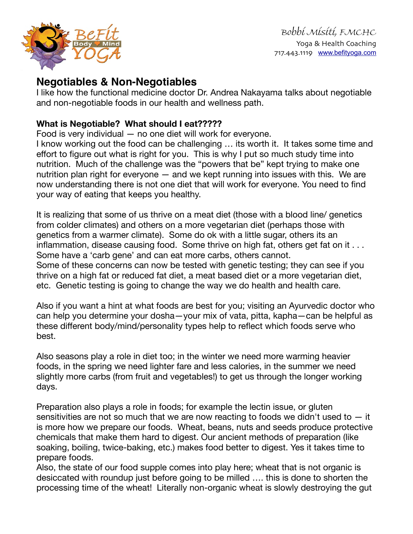

## **Negotiables & Non-Negotiables**

I like how the functional medicine doctor Dr. Andrea Nakayama talks about negotiable and non-negotiable foods in our health and wellness path.

## **What is Negotiable? What should I eat?????**

Food is very individual — no one diet will work for everyone.

I know working out the food can be challenging … its worth it. It takes some time and effort to figure out what is right for you. This is why I put so much study time into nutrition. Much of the challenge was the "powers that be" kept trying to make one nutrition plan right for everyone — and we kept running into issues with this. We are now understanding there is not one diet that will work for everyone. You need to find your way of eating that keeps you healthy.

It is realizing that some of us thrive on a meat diet (those with a blood line/ genetics from colder climates) and others on a more vegetarian diet (perhaps those with genetics from a warmer climate). Some do ok with a little sugar, others its an inflammation, disease causing food. Some thrive on high fat, others get fat on it ... Some have a 'carb gene' and can eat more carbs, others cannot. Some of these concerns can now be tested with genetic testing; they can see if you thrive on a high fat or reduced fat diet, a meat based diet or a more vegetarian diet, etc. Genetic testing is going to change the way we do health and health care.

Also if you want a hint at what foods are best for you; visiting an Ayurvedic doctor who can help you determine your dosha—your mix of vata, pitta, kapha—can be helpful as these different body/mind/personality types help to reflect which foods serve who best.

Also seasons play a role in diet too; in the winter we need more warming heavier foods, in the spring we need lighter fare and less calories, in the summer we need slightly more carbs (from fruit and vegetables!) to get us through the longer working days.

Preparation also plays a role in foods; for example the lectin issue, or gluten sensitivities are not so much that we are now reacting to foods we didn't used to  $-$  it is more how we prepare our foods. Wheat, beans, nuts and seeds produce protective chemicals that make them hard to digest. Our ancient methods of preparation (like soaking, boiling, twice-baking, etc.) makes food better to digest. Yes it takes time to prepare foods.

Also, the state of our food supple comes into play here; wheat that is not organic is desiccated with roundup just before going to be milled …. this is done to shorten the processing time of the wheat! Literally non-organic wheat is slowly destroying the gut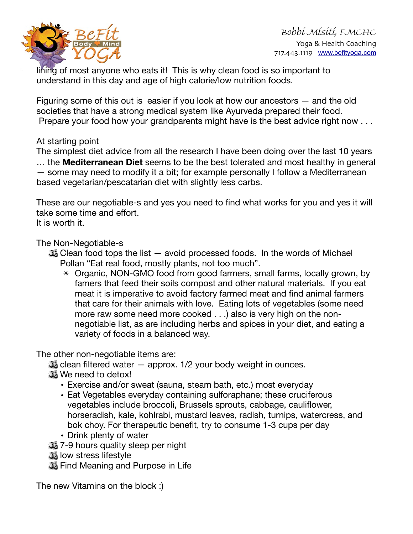

lining of most anyone who eats it! This is why clean food is so important to understand in this day and age of high calorie/low nutrition foods.

Figuring some of this out is easier if you look at how our ancestors — and the old societies that have a strong medical system like Ayurveda prepared their food. Prepare your food how your grandparents might have is the best advice right now . . .

## At starting point

The simplest diet advice from all the research I have been doing over the last 10 years … the **Mediterranean Diet** seems to be the best tolerated and most healthy in general — some may need to modify it a bit; for example personally I follow a Mediterranean based vegetarian/pescatarian diet with slightly less carbs.

These are our negotiable-s and yes you need to find what works for you and yes it will take some time and effort. It is worth it.

The Non-Negotiable-s

- $\mathbb{G}_{\mathbb{Z}}$  Clean food tops the list  $-$  avoid processed foods. In the words of Michael Pollan "Eat real food, mostly plants, not too much".
	- ✴ Organic, NON-GMO food from good farmers, small farms, locally grown, by famers that feed their soils compost and other natural materials. If you eat meat it is imperative to avoid factory farmed meat and find animal farmers that care for their animals with love. Eating lots of vegetables (some need more raw some need more cooked . . .) also is very high on the nonnegotiable list, as are including herbs and spices in your diet, and eating a variety of foods in a balanced way.

The other non-negotiable items are:

 $\mathbb{G}_{\mathbb{Z}}$  clean filtered water  $-$  approx. 1/2 your body weight in ounces.

- We need to detox!
	- Exercise and/or sweat (sauna, steam bath, etc.) most everyday
	- Eat Vegetables everyday containing sulforaphane; these cruciferous vegetables include broccoli, Brussels sprouts, cabbage, cauliflower, horseradish, kale, kohlrabi, mustard leaves, radish, turnips, watercress, and bok choy. For therapeutic benefit, try to consume 1-3 cups per day
	- Drink plenty of water
- 7-9 hours quality sleep per night
- low stress lifestyle
- **J**<sub>2</sub> Find Meaning and Purpose in Life

The new Vitamins on the block :)